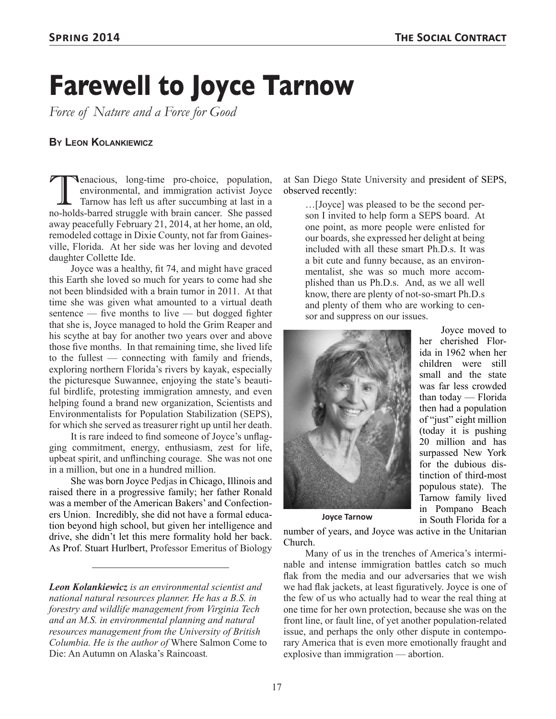## **Farewell to Joyce Tarnow**

*Force of Nature and a Force for Good*

## **By Leon Kolankiewicz**

Tenacious, long-time pro-choice, population, environmental, and immigration activist Joyce Tarnow has left us after succumbing at last in a no-holds-barred struggle with brain cancer. She passed away peacefully February 21, 2014, at her home, an old, remodeled cottage in Dixie County, not far from Gainesville, Florida. At her side was her loving and devoted daughter Collette Ide.

Joyce was a healthy, fit 74, and might have graced this Earth she loved so much for years to come had she not been blindsided with a brain tumor in 2011. At that time she was given what amounted to a virtual death sentence — five months to live — but dogged fighter that she is, Joyce managed to hold the Grim Reaper and his scythe at bay for another two years over and above those five months. In that remaining time, she lived life to the fullest — connecting with family and friends, exploring northern Florida's rivers by kayak, especially the picturesque Suwannee, enjoying the state's beautiful birdlife, protesting immigration amnesty, and even helping found a brand new organization, Scientists and Environmentalists for Population Stabilization (SEPS), for which she served as treasurer right up until her death.

It is rare indeed to find someone of Joyce's unflagging commitment, energy, enthusiasm, zest for life, upbeat spirit, and unflinching courage. She was not one in a million, but one in a hundred million.

She was born Joyce Pedjas in Chicago, Illinois and raised there in a progressive family; her father Ronald was a member of the American Bakers' and Confectioners Union. Incredibly, she did not have a formal education beyond high school, but given her intelligence and drive, she didn't let this mere formality hold her back. As Prof. Stuart Hurlbert, Professor Emeritus of Biology

*Leon Kolankiewicz is an environmental scientist and national natural resources planner. He has a B.S. in forestry and wildlife management from Virginia Tech and an M.S. in environmental planning and natural resources management from the University of British Columbia. He is the author of* Where Salmon Come to Die: An Autumn on Alaska's Raincoast*.*

at San Diego State University and president of SEPS, observed recently:

…[Joyce] was pleased to be the second person I invited to help form a SEPS board. At one point, as more people were enlisted for our boards, she expressed her delight at being included with all these smart Ph.D.s. It was a bit cute and funny because, as an environmentalist, she was so much more accomplished than us Ph.D.s. And, as we all well know, there are plenty of not-so-smart Ph.D.s and plenty of them who are working to censor and suppress on our issues.



Joyce moved to her cherished Florida in 1962 when her children were still small and the state was far less crowded than today — Florida then had a population of "just" eight million (today it is pushing 20 million and has surpassed New York for the dubious distinction of third-most populous state). The Tarnow family lived in Pompano Beach in South Florida for a

number of years, and Joyce was active in the Unitarian Church.

Many of us in the trenches of America's interminable and intense immigration battles catch so much flak from the media and our adversaries that we wish we had flak jackets, at least figuratively. Joyce is one of the few of us who actually had to wear the real thing at one time for her own protection, because she was on the front line, or fault line, of yet another population-related issue, and perhaps the only other dispute in contemporary America that is even more emotionally fraught and explosive than immigration — abortion.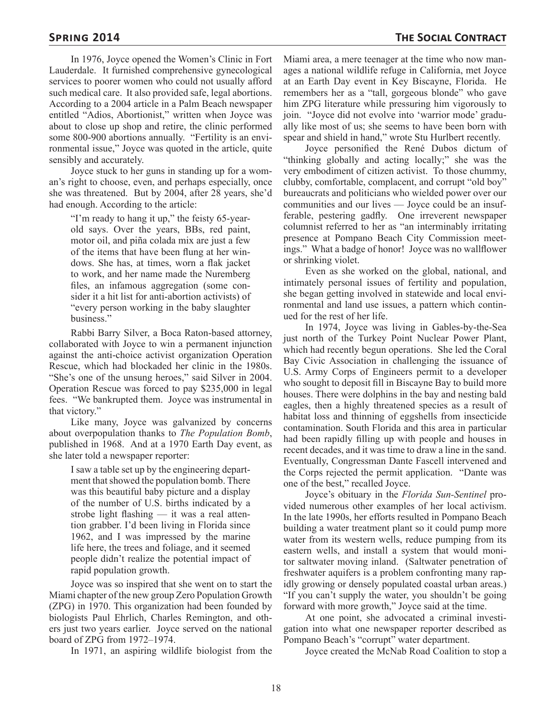In 1976, Joyce opened the Women's Clinic in Fort Lauderdale. It furnished comprehensive gynecological services to poorer women who could not usually afford such medical care. It also provided safe, legal abortions. According to a 2004 article in a Palm Beach newspaper entitled "Adios, Abortionist," written when Joyce was about to close up shop and retire, the clinic performed some 800-900 abortions annually. "Fertility is an environmental issue," Joyce was quoted in the article, quite sensibly and accurately.

Joyce stuck to her guns in standing up for a woman's right to choose, even, and perhaps especially, once she was threatened. But by 2004, after 28 years, she'd had enough. According to the article:

"I'm ready to hang it up," the feisty 65-yearold says. Over the years, BBs, red paint, motor oil, and piña colada mix are just a few of the items that have been flung at her windows. She has, at times, worn a flak jacket to work, and her name made the Nuremberg files, an infamous aggregation (some consider it a hit list for anti-abortion activists) of "every person working in the baby slaughter business."

Rabbi Barry Silver, a Boca Raton-based attorney, collaborated with Joyce to win a permanent injunction against the anti-choice activist organization Operation Rescue, which had blockaded her clinic in the 1980s. "She's one of the unsung heroes," said Silver in 2004. Operation Rescue was forced to pay \$235,000 in legal fees. "We bankrupted them. Joyce was instrumental in that victory."

Like many, Joyce was galvanized by concerns about overpopulation thanks to *The Population Bomb*, published in 1968. And at a 1970 Earth Day event, as she later told a newspaper reporter:

I saw a table set up by the engineering department that showed the population bomb. There was this beautiful baby picture and a display of the number of U.S. births indicated by a strobe light flashing — it was a real attention grabber. I'd been living in Florida since 1962, and I was impressed by the marine life here, the trees and foliage, and it seemed people didn't realize the potential impact of rapid population growth.

Joyce was so inspired that she went on to start the Miami chapter of the new group Zero Population Growth (ZPG) in 1970. This organization had been founded by biologists Paul Ehrlich, Charles Remington, and others just two years earlier. Joyce served on the national board of ZPG from 1972–1974.

In 1971, an aspiring wildlife biologist from the

Miami area, a mere teenager at the time who now manages a national wildlife refuge in California, met Joyce at an Earth Day event in Key Biscayne, Florida. He remembers her as a "tall, gorgeous blonde" who gave him ZPG literature while pressuring him vigorously to join. "Joyce did not evolve into 'warrior mode' gradually like most of us; she seems to have been born with spear and shield in hand," wrote Stu Hurlbert recently.

Joyce personified the René Dubos dictum of "thinking globally and acting locally;" she was the very embodiment of citizen activist. To those chummy, clubby, comfortable, complacent, and corrupt "old boy" bureaucrats and politicians who wielded power over our communities and our lives — Joyce could be an insufferable, pestering gadfly. One irreverent newspaper columnist referred to her as "an interminably irritating presence at Pompano Beach City Commission meetings." What a badge of honor! Joyce was no wallflower or shrinking violet.

Even as she worked on the global, national, and intimately personal issues of fertility and population, she began getting involved in statewide and local environmental and land use issues, a pattern which continued for the rest of her life.

In 1974, Joyce was living in Gables-by-the-Sea just north of the Turkey Point Nuclear Power Plant, which had recently begun operations. She led the Coral Bay Civic Association in challenging the issuance of U.S. Army Corps of Engineers permit to a developer who sought to deposit fill in Biscayne Bay to build more houses. There were dolphins in the bay and nesting bald eagles, then a highly threatened species as a result of habitat loss and thinning of eggshells from insecticide contamination. South Florida and this area in particular had been rapidly filling up with people and houses in recent decades, and it was time to draw a line in the sand. Eventually, Congressman Dante Fascell intervened and the Corps rejected the permit application. "Dante was one of the best," recalled Joyce.

Joyce's obituary in the *Florida Sun-Sentinel* provided numerous other examples of her local activism. In the late 1990s, her efforts resulted in Pompano Beach building a water treatment plant so it could pump more water from its western wells, reduce pumping from its eastern wells, and install a system that would monitor saltwater moving inland. (Saltwater penetration of freshwater aquifers is a problem confronting many rapidly growing or densely populated coastal urban areas.) "If you can't supply the water, you shouldn't be going forward with more growth," Joyce said at the time.

At one point, she advocated a criminal investigation into what one newspaper reporter described as Pompano Beach's "corrupt" water department.

Joyce created the McNab Road Coalition to stop a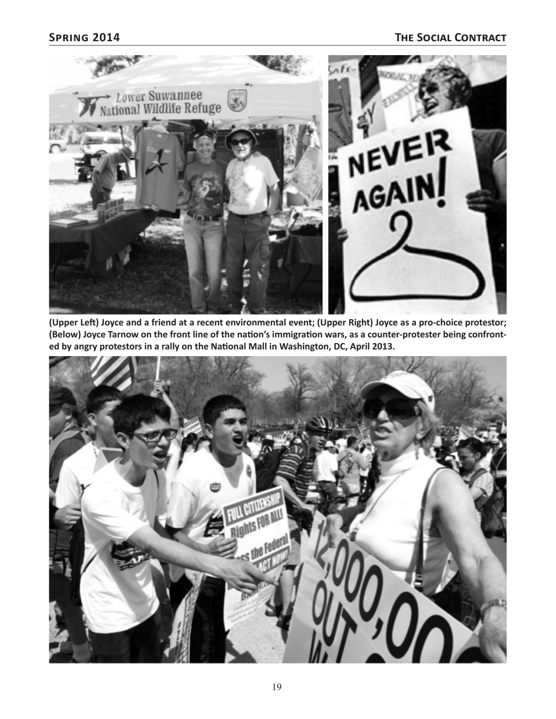

**(Upper Left) Joyce and a friend at a recent environmental event; (Upper Right) Joyce as a pro-choice protestor; (Below) Joyce Tarnow on the front line of the nation's immigration wars, as a counter-protester being confronted by angry protestors in a rally on the National Mall in Washington, DC, April 2013.**

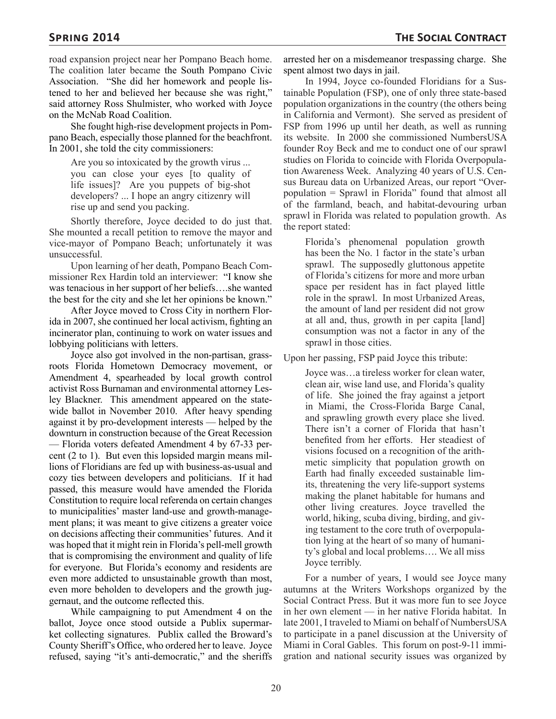road expansion project near her Pompano Beach home. The coalition later became the South Pompano Civic Association. "She did her homework and people listened to her and believed her because she was right," said attorney Ross Shulmister, who worked with Joyce on the McNab Road Coalition.

She fought high-rise development projects in Pompano Beach, especially those planned for the beachfront. In 2001, she told the city commissioners:

Are you so intoxicated by the growth virus ... you can close your eyes [to quality of life issues]? Are you puppets of big-shot developers? ... I hope an angry citizenry will rise up and send you packing.

Shortly therefore, Joyce decided to do just that. She mounted a recall petition to remove the mayor and vice-mayor of Pompano Beach; unfortunately it was unsuccessful.

Upon learning of her death, Pompano Beach Commissioner Rex Hardin told an interviewer: "I know she was tenacious in her support of her beliefs….she wanted the best for the city and she let her opinions be known."

After Joyce moved to Cross City in northern Florida in 2007, she continued her local activism, fighting an incinerator plan, continuing to work on water issues and lobbying politicians with letters.

Joyce also got involved in the non-partisan, grassroots Florida Hometown Democracy movement, or Amendment 4, spearheaded by local growth control activist Ross Burnaman and environmental attorney Lesley Blackner. This amendment appeared on the statewide ballot in November 2010. After heavy spending against it by pro-development interests — helped by the downturn in construction because of the Great Recession — Florida voters defeated Amendment 4 by 67-33 percent (2 to 1). But even this lopsided margin means millions of Floridians are fed up with business-as-usual and cozy ties between developers and politicians. If it had passed, this measure would have amended the Florida Constitution to require local referenda on certain changes to municipalities' master land-use and growth-management plans; it was meant to give citizens a greater voice on decisions affecting their communities' futures. And it was hoped that it might rein in Florida's pell-mell growth that is compromising the environment and quality of life for everyone. But Florida's economy and residents are even more addicted to unsustainable growth than most, even more beholden to developers and the growth juggernaut, and the outcome reflected this.

While campaigning to put Amendment 4 on the ballot, Joyce once stood outside a Publix supermarket collecting signatures. Publix called the Broward's County Sheriff's Office, who ordered her to leave. Joyce refused, saying "it's anti-democratic," and the sheriffs

arrested her on a misdemeanor trespassing charge. She spent almost two days in jail.

In 1994, Joyce co-founded Floridians for a Sustainable Population (FSP), one of only three state-based population organizations in the country (the others being in California and Vermont). She served as president of FSP from 1996 up until her death, as well as running its website. In 2000 she commissioned NumbersUSA founder Roy Beck and me to conduct one of our sprawl studies on Florida to coincide with Florida Overpopulation Awareness Week. Analyzing 40 years of U.S. Census Bureau data on Urbanized Areas, our report "Overpopulation = Sprawl in Florida" found that almost all of the farmland, beach, and habitat-devouring urban sprawl in Florida was related to population growth. As the report stated:

Florida's phenomenal population growth has been the No. 1 factor in the state's urban sprawl. The supposedly gluttonous appetite of Florida's citizens for more and more urban space per resident has in fact played little role in the sprawl. In most Urbanized Areas, the amount of land per resident did not grow at all and, thus, growth in per capita [land] consumption was not a factor in any of the sprawl in those cities.

Upon her passing, FSP paid Joyce this tribute:

Joyce was…a tireless worker for clean water, clean air, wise land use, and Florida's quality of life. She joined the fray against a jetport in Miami, the Cross-Florida Barge Canal, and sprawling growth every place she lived. There isn't a corner of Florida that hasn't benefited from her efforts. Her steadiest of visions focused on a recognition of the arithmetic simplicity that population growth on Earth had finally exceeded sustainable limits, threatening the very life-support systems making the planet habitable for humans and other living creatures. Joyce travelled the world, hiking, scuba diving, birding, and giving testament to the core truth of overpopulation lying at the heart of so many of humanity's global and local problems…. We all miss Joyce terribly.

For a number of years, I would see Joyce many autumns at the Writers Workshops organized by the Social Contract Press. But it was more fun to see Joyce in her own element — in her native Florida habitat. In late 2001, I traveled to Miami on behalf of NumbersUSA to participate in a panel discussion at the University of Miami in Coral Gables. This forum on post-9-11 immigration and national security issues was organized by